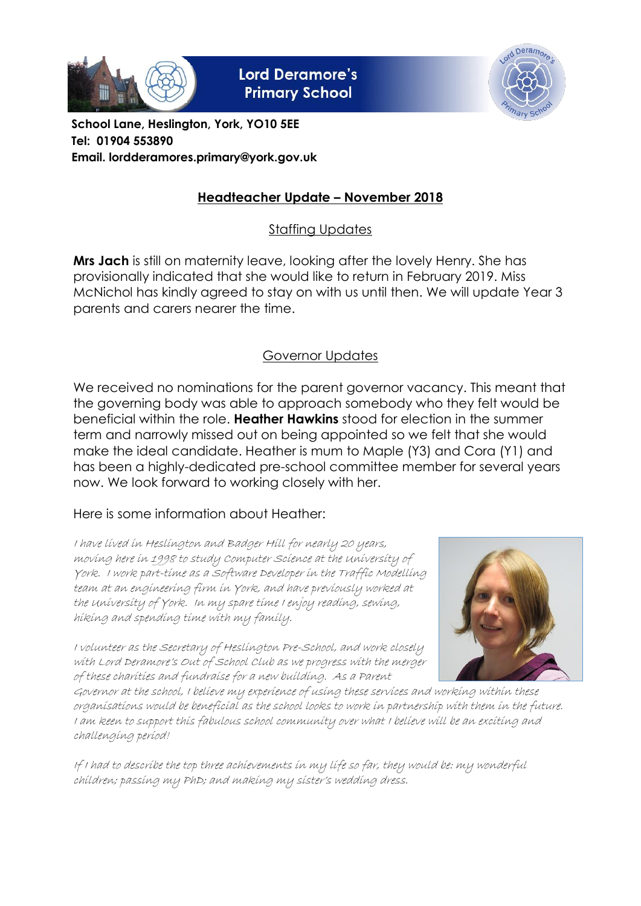

**Lord Deramore's Primary School** 



**School Lane, Heslington, York, YO10 5EE Tel: 01904 553890 Email. lordderamores.primary@york.gov.uk**

# **Headteacher Update – November 2018**

Staffing Updates

**Mrs Jach** is still on maternity leave, looking after the lovely Henry. She has provisionally indicated that she would like to return in February 2019. Miss McNichol has kindly agreed to stay on with us until then. We will update Year 3 parents and carers nearer the time.

## Governor Updates

We received no nominations for the parent governor vacancy. This meant that the governing body was able to approach somebody who they felt would be beneficial within the role. **Heather Hawkins** stood for election in the summer term and narrowly missed out on being appointed so we felt that she would make the ideal candidate. Heather is mum to Maple (Y3) and Cora (Y1) and has been a highly-dedicated pre-school committee member for several years now. We look forward to working closely with her.

### Here is some information about Heather:

I have lived in Heslington and Badger Hill for nearly 20 years, moving here in 1998 to study Computer Science at the University of York. I work part-time as a Software Developer in the Traffic Modelling team at an engineering firm in York, and have previously worked at the University of York. In my spare time I enjoy reading, sewing, hiking and spending time with my family.

I volunteer as the Secretary of Heslington Pre-School, and work closely with Lord Deramore's Out of School Club as we progress with the merger of these charities and fundraise for a new building. As a Parent



Governor at the school, I believe my experience of using these services and working within these organisations would be beneficial as the school looks to work in partnership with them in the future. I am keen to support this fabulous school community over what I believe will be an exciting and challenging period!

If I had to describe the top three achievements in my life so far, they would be: my wonderful children; passing my PhD; and making my sister's wedding dress.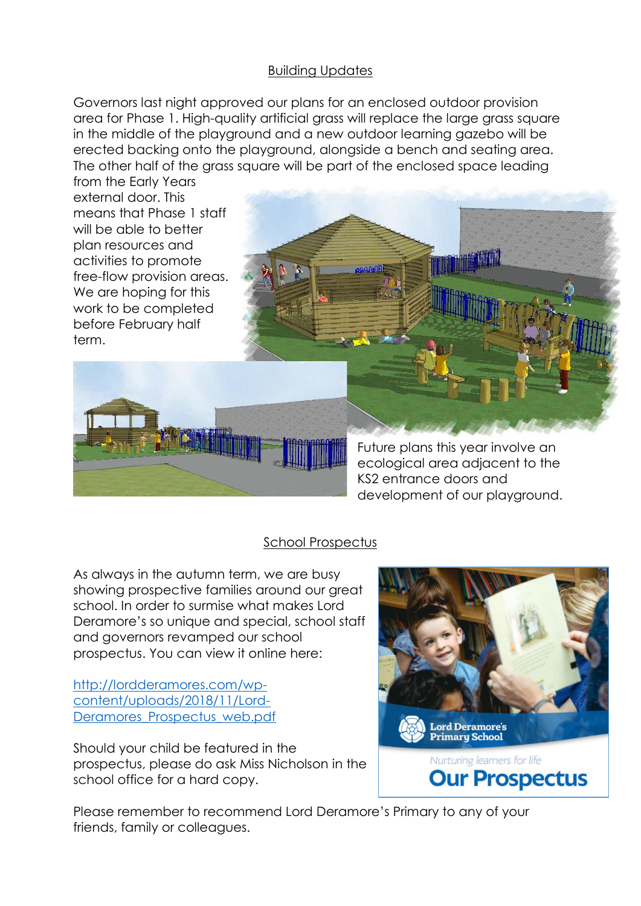### Building Updates

Governors last night approved our plans for an enclosed outdoor provision area for Phase 1. High-quality artificial grass will replace the large grass square in the middle of the playground and a new outdoor learning gazebo will be erected backing onto the playground, alongside a bench and seating area. The other half of the grass square will be part of the enclosed space leading

from the Early Years external door. This means that Phase 1 staff will be able to better plan resources and activities to promote free-flow provision areas.



Future plans this year involve an ecological area adjacent to the KS2 entrance doors and development of our playground.

### School Prospectus

As always in the autumn term, we are busy showing prospective families around our great school. In order to surmise what makes Lord Deramore's so unique and special, school staff and governors revamped our school prospectus. You can view it online here:

[http://lordderamores.com/wp](http://lordderamores.com/wp-content/uploads/2018/11/Lord-Deramores_Prospectus_web.pdf)[content/uploads/2018/11/Lord-](http://lordderamores.com/wp-content/uploads/2018/11/Lord-Deramores_Prospectus_web.pdf)[Deramores\\_Prospectus\\_web.pdf](http://lordderamores.com/wp-content/uploads/2018/11/Lord-Deramores_Prospectus_web.pdf)

Should your child be featured in the prospectus, please do ask Miss Nicholson in the school office for a hard copy.



Please remember to recommend Lord Deramore's Primary to any of your friends, family or colleagues.